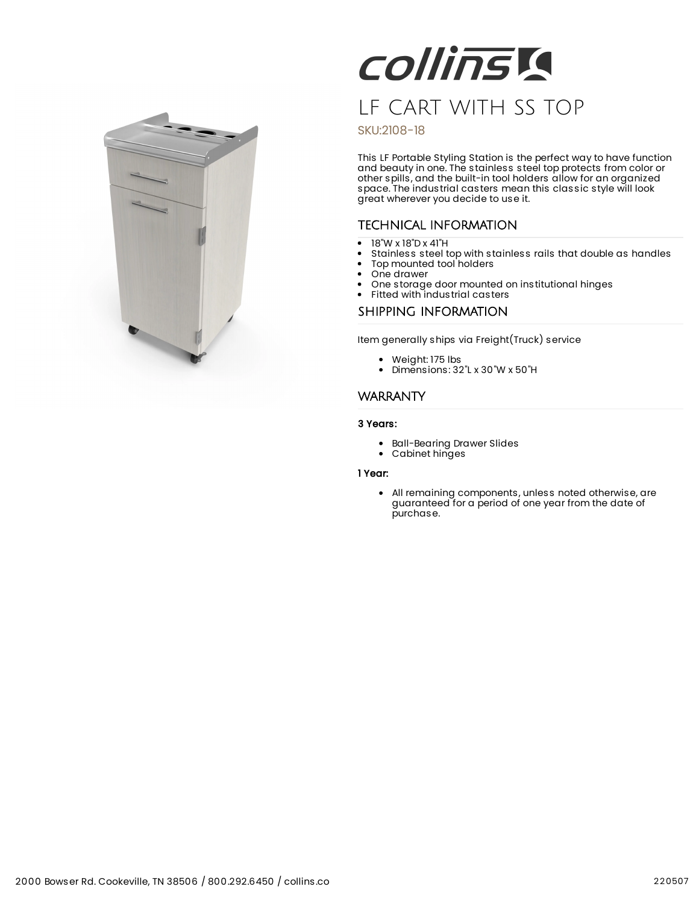

# **COllinsia** LF CART WITH SS TOP

## SKU:2108-18

This LF Portable Styling Station is the perfect way to have function and beauty in one. The stainless steel top protects from color or other spills, and the built-in tool holders allow for an organized space. The industrial casters mean this classic style will look great wherever you decide to use it.

## TECHNICAL INFORMATION

- 18"W x 18"D x 41"H  $\bullet$
- Stainless steel top with stainless rails that double as handles
- Top mounted tool holders  $\bullet$
- $\bullet$ One drawer
- One storage door mounted on institutional hinges

## Fitted with industrial casters

### SHIPPING INFORMATION

Item generally ships via Freight(Truck) service

- Weight: 175 lbs
- Dimensions: 32"L x 30"W x 50"H

## **WARRANTY**

3 Years:

- Ball-Bearing Drawer Slides
- Cabinet hinges

#### 1 Year:

All remaining components, unless noted otherwise, are guaranteed for a period of one year from the date of purchase.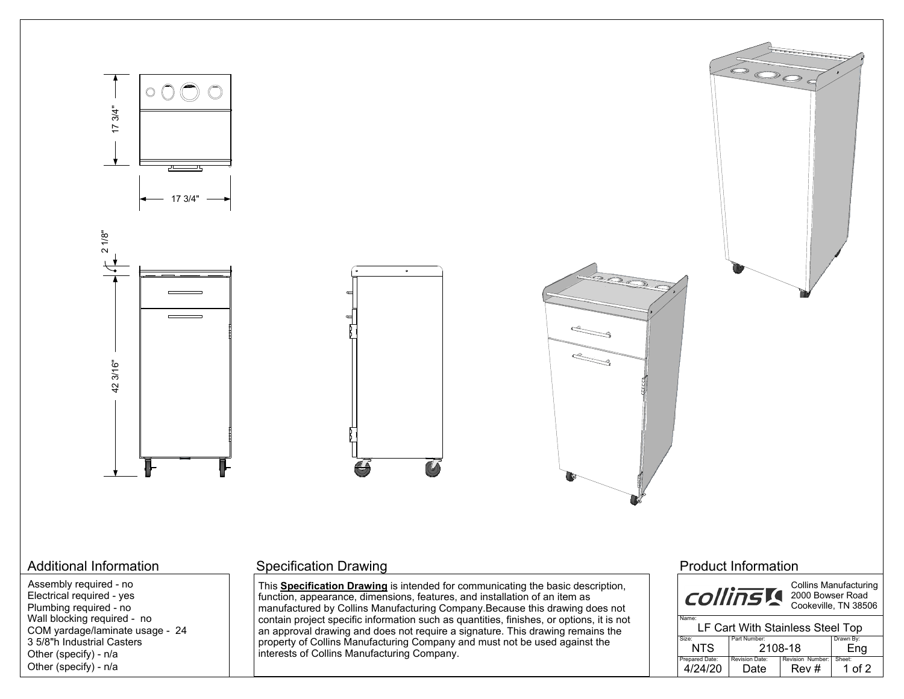